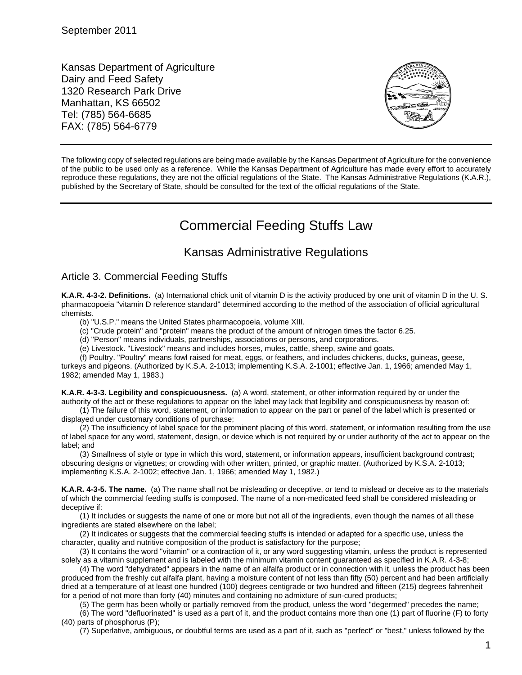Kansas Department of Agriculture Dairy and Feed Safety 1320 Research Park Drive Manhattan, KS 66502 Tel: (785) 564-6685 FAX: (785) 564-6779



The following copy of selected regulations are being made available by the Kansas Department of Agriculture for the convenience of the public to be used only as a reference. While the Kansas Department of Agriculture has made every effort to accurately reproduce these regulations, they are not the official regulations of the State. The Kansas Administrative Regulations (K.A.R.), published by the Secretary of State, should be consulted for the text of the official regulations of the State.

## Commercial Feeding Stuffs Law

## Kansas Administrative Regulations

## Article 3. Commercial Feeding Stuffs

**K.A.R. 4-3-2. Definitions.** (a) International chick unit of vitamin D is the activity produced by one unit of vitamin D in the U. S. pharmacopoeia "vitamin D reference standard" determined according to the method of the association of official agricultural chemists.

(b) "U.S.P." means the United States pharmacopoeia, volume XIII.

(c) "Crude protein" and "protein" means the product of the amount of nitrogen times the factor 6.25.

(d) "Person" means individuals, partnerships, associations or persons, and corporations.

(e) Livestock. "Livestock" means and includes horses, mules, cattle, sheep, swine and goats.

(f) Poultry. "Poultry" means fowl raised for meat, eggs, or feathers, and includes chickens, ducks, guineas, geese,

turkeys and pigeons. (Authorized by K.S.A. 2-1013; implementing K.S.A. 2-1001; effective Jan. 1, 1966; amended May 1, 1982; amended May 1, 1983.)

**K.A.R. 4-3-3. Legibility and conspicuousness.** (a) A word, statement, or other information required by or under the authority of the act or these regulations to appear on the label may lack that legibility and conspicuousness by reason of:

(1) The failure of this word, statement, or information to appear on the part or panel of the label which is presented or displayed under customary conditions of purchase;

(2) The insufficiency of label space for the prominent placing of this word, statement, or information resulting from the use of label space for any word, statement, design, or device which is not required by or under authority of the act to appear on the label; and

(3) Smallness of style or type in which this word, statement, or information appears, insufficient background contrast; obscuring designs or vignettes; or crowding with other written, printed, or graphic matter. (Authorized by K.S.A. 2-1013; implementing K.S.A. 2-1002; effective Jan. 1, 1966; amended May 1, 1982.)

**K.A.R. 4-3-5. The name.** (a) The name shall not be misleading or deceptive, or tend to mislead or deceive as to the materials of which the commercial feeding stuffs is composed. The name of a non-medicated feed shall be considered misleading or deceptive if:

(1) It includes or suggests the name of one or more but not all of the ingredients, even though the names of all these ingredients are stated elsewhere on the label;

(2) It indicates or suggests that the commercial feeding stuffs is intended or adapted for a specific use, unless the character, quality and nutritive composition of the product is satisfactory for the purpose;

(3) It contains the word "vitamin" or a contraction of it, or any word suggesting vitamin, unless the product is represented solely as a vitamin supplement and is labeled with the minimum vitamin content guaranteed as specified in K.A.R. 4-3-8;

(4) The word "dehydrated" appears in the name of an alfalfa product or in connection with it, unless the product has been produced from the freshly cut alfalfa plant, having a moisture content of not less than fifty (50) percent and had been artificially dried at a temperature of at least one hundred (100) degrees centigrade or two hundred and fifteen (215) degrees fahrenheit for a period of not more than forty (40) minutes and containing no admixture of sun-cured products;

(5) The germ has been wholly or partially removed from the product, unless the word "degermed" precedes the name;

(6) The word "defluorinated" is used as a part of it, and the product contains more than one (1) part of fluorine (F) to forty (40) parts of phosphorus (P);

(7) Superlative, ambiguous, or doubtful terms are used as a part of it, such as "perfect" or "best," unless followed by the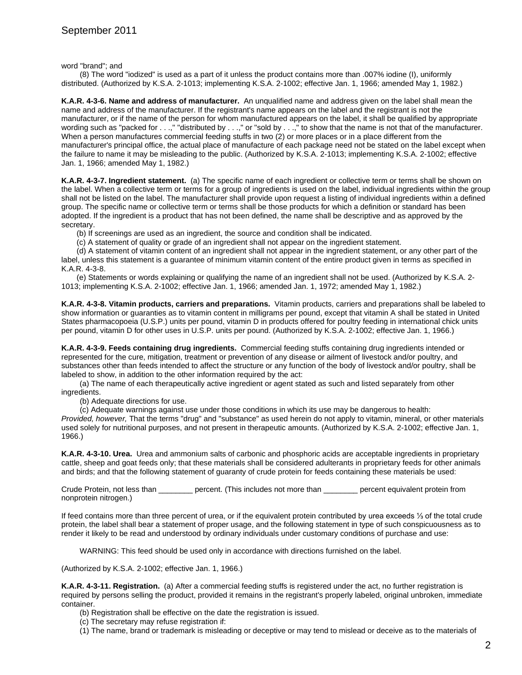word "brand"; and

(8) The word "iodized" is used as a part of it unless the product contains more than .007% iodine (I), uniformly distributed. (Authorized by K.S.A. 2-1013; implementing K.S.A. 2-1002; effective Jan. 1, 1966; amended May 1, 1982.)

**K.A.R. 4-3-6. Name and address of manufacturer.** An unqualified name and address given on the label shall mean the name and address of the manufacturer. If the registrant's name appears on the label and the registrant is not the manufacturer, or if the name of the person for whom manufactured appears on the label, it shall be qualified by appropriate wording such as "packed for . . .," "distributed by . . .," or "sold by . . .," to show that the name is not that of the manufacturer. When a person manufactures commercial feeding stuffs in two (2) or more places or in a place different from the manufacturer's principal office, the actual place of manufacture of each package need not be stated on the label except when the failure to name it may be misleading to the public. (Authorized by K.S.A. 2-1013; implementing K.S.A. 2-1002; effective Jan. 1, 1966; amended May 1, 1982.)

**K.A.R. 4-3-7. Ingredient statement.** (a) The specific name of each ingredient or collective term or terms shall be shown on the label. When a collective term or terms for a group of ingredients is used on the label, individual ingredients within the group shall not be listed on the label. The manufacturer shall provide upon request a listing of individual ingredients within a defined group. The specific name or collective term or terms shall be those products for which a definition or standard has been adopted. If the ingredient is a product that has not been defined, the name shall be descriptive and as approved by the secretary.

(b) If screenings are used as an ingredient, the source and condition shall be indicated.

(c) A statement of quality or grade of an ingredient shall not appear on the ingredient statement.

(d) A statement of vitamin content of an ingredient shall not appear in the ingredient statement, or any other part of the label, unless this statement is a guarantee of minimum vitamin content of the entire product given in terms as specified in K.A.R. 4-3-8.

(e) Statements or words explaining or qualifying the name of an ingredient shall not be used. (Authorized by K.S.A. 2- 1013; implementing K.S.A. 2-1002; effective Jan. 1, 1966; amended Jan. 1, 1972; amended May 1, 1982.)

**K.A.R. 4-3-8. Vitamin products, carriers and preparations.** Vitamin products, carriers and preparations shall be labeled to show information or guaranties as to vitamin content in milligrams per pound, except that vitamin A shall be stated in United States pharmacopoeia (U.S.P.) units per pound, vitamin D in products offered for poultry feeding in international chick units per pound, vitamin D for other uses in U.S.P. units per pound. (Authorized by K.S.A. 2-1002; effective Jan. 1, 1966.)

**K.A.R. 4-3-9. Feeds containing drug ingredients.** Commercial feeding stuffs containing drug ingredients intended or represented for the cure, mitigation, treatment or prevention of any disease or ailment of livestock and/or poultry, and substances other than feeds intended to affect the structure or any function of the body of livestock and/or poultry, shall be labeled to show, in addition to the other information required by the act:

(a) The name of each therapeutically active ingredient or agent stated as such and listed separately from other ingredients.

(b) Adequate directions for use.

(c) Adequate warnings against use under those conditions in which its use may be dangerous to health:

*Provided, however,* That the terms "drug" and "substance" as used herein do not apply to vitamin, mineral, or other materials used solely for nutritional purposes, and not present in therapeutic amounts. (Authorized by K.S.A. 2-1002; effective Jan. 1, 1966.)

**K.A.R. 4-3-10. Urea.** Urea and ammonium salts of carbonic and phosphoric acids are acceptable ingredients in proprietary cattle, sheep and goat feeds only; that these materials shall be considered adulterants in proprietary feeds for other animals and birds; and that the following statement of guaranty of crude protein for feeds containing these materials be used:

Crude Protein, not less than \_\_\_\_\_\_\_\_ percent. (This includes not more than \_\_\_\_\_\_\_\_ percent equivalent protein from nonprotein nitrogen.)

If feed contains more than three percent of urea, or if the equivalent protein contributed by urea exceeds ⅓ of the total crude protein, the label shall bear a statement of proper usage, and the following statement in type of such conspicuousness as to render it likely to be read and understood by ordinary individuals under customary conditions of purchase and use:

WARNING: This feed should be used only in accordance with directions furnished on the label.

(Authorized by K.S.A. 2-1002; effective Jan. 1, 1966.)

**K.A.R. 4-3-11. Registration.** (a) After a commercial feeding stuffs is registered under the act, no further registration is required by persons selling the product, provided it remains in the registrant's properly labeled, original unbroken, immediate container.

- (b) Registration shall be effective on the date the registration is issued.
- (c) The secretary may refuse registration if:
- (1) The name, brand or trademark is misleading or deceptive or may tend to mislead or deceive as to the materials of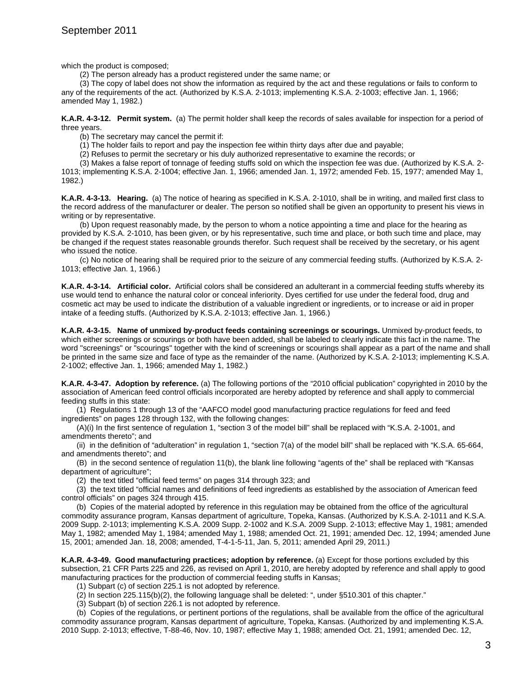which the product is composed;

(2) The person already has a product registered under the same name; or

(3) The copy of label does not show the information as required by the act and these regulations or fails to conform to any of the requirements of the act. (Authorized by K.S.A. 2-1013; implementing K.S.A. 2-1003; effective Jan. 1, 1966; amended May 1, 1982.)

**K.A.R. 4-3-12. Permit system.** (a) The permit holder shall keep the records of sales available for inspection for a period of three years.

(b) The secretary may cancel the permit if:

(1) The holder fails to report and pay the inspection fee within thirty days after due and payable;

(2) Refuses to permit the secretary or his duly authorized representative to examine the records; or

(3) Makes a false report of tonnage of feeding stuffs sold on which the inspection fee was due. (Authorized by K.S.A. 2- 1013; implementing K.S.A. 2-1004; effective Jan. 1, 1966; amended Jan. 1, 1972; amended Feb. 15, 1977; amended May 1, 1982.)

**K.A.R. 4-3-13. Hearing.** (a) The notice of hearing as specified in K.S.A. 2-1010, shall be in writing, and mailed first class to the record address of the manufacturer or dealer. The person so notified shall be given an opportunity to present his views in writing or by representative.

(b) Upon request reasonably made, by the person to whom a notice appointing a time and place for the hearing as provided by K.S.A. 2-1010, has been given, or by his representative, such time and place, or both such time and place, may be changed if the request states reasonable grounds therefor. Such request shall be received by the secretary, or his agent who issued the notice.

(c) No notice of hearing shall be required prior to the seizure of any commercial feeding stuffs. (Authorized by K.S.A. 2- 1013; effective Jan. 1, 1966.)

**K.A.R. 4-3-14. Artificial color.** Artificial colors shall be considered an adulterant in a commercial feeding stuffs whereby its use would tend to enhance the natural color or conceal inferiority. Dyes certified for use under the federal food, drug and cosmetic act may be used to indicate the distribution of a valuable ingredient or ingredients, or to increase or aid in proper intake of a feeding stuffs. (Authorized by K.S.A. 2-1013; effective Jan. 1, 1966.)

**K.A.R. 4-3-15. Name of unmixed by-product feeds containing screenings or scourings.** Unmixed by-product feeds, to which either screenings or scourings or both have been added, shall be labeled to clearly indicate this fact in the name. The word "screenings" or "scourings" together with the kind of screenings or scourings shall appear as a part of the name and shall be printed in the same size and face of type as the remainder of the name. (Authorized by K.S.A. 2-1013; implementing K.S.A. 2-1002; effective Jan. 1, 1966; amended May 1, 1982.)

**K.A.R. 4-3-47. Adoption by reference.** (a) The following portions of the "2010 official publication" copyrighted in 2010 by the association of American feed control officials incorporated are hereby adopted by reference and shall apply to commercial feeding stuffs in this state:

(1) Regulations 1 through 13 of the "AAFCO model good manufacturing practice regulations for feed and feed ingredients" on pages 128 through 132, with the following changes:

(A)(i) In the first sentence of regulation 1, "section 3 of the model bill" shall be replaced with "K.S.A. 2-1001, and amendments thereto"; and

(ii) in the definition of "adulteration" in regulation 1, "section 7(a) of the model bill" shall be replaced with "K.S.A. 65-664, and amendments thereto"; and

(B) in the second sentence of regulation 11(b), the blank line following "agents of the" shall be replaced with "Kansas department of agriculture";

(2) the text titled "official feed terms" on pages 314 through 323; and

(3) the text titled "official names and definitions of feed ingredients as established by the association of American feed control officials" on pages 324 through 415.

(b)Copies of the material adopted by reference in this regulation may be obtained from the office of the agricultural commodity assurance program, Kansas department of agriculture, Topeka, Kansas. (Authorized by K.S.A. 2-1011 and K.S.A. 2009 Supp. 2-1013; implementing K.S.A. 2009 Supp. 2-1002 and K.S.A. 2009 Supp. 2-1013; effective May 1, 1981; amended May 1, 1982; amended May 1, 1984; amended May 1, 1988; amended Oct. 21, 1991; amended Dec. 12, 1994; amended June 15, 2001; amended Jan. 18, 2008; amended, T-4-1-5-11, Jan. 5, 2011; amended April 29, 2011.)

**K.A.R. 4-3-49. Good manufacturing practices; adoption by reference.** (a) Except for those portions excluded by this subsection, 21 CFR Parts 225 and 226, as revised on April 1, 2010, are hereby adopted by reference and shall apply to good manufacturing practices for the production of commercial feeding stuffs in Kansas:

(1) Subpart (c) of section 225.1 is not adopted by reference.

(2) In section 225.115(b)(2), the following language shall be deleted: ", under §510.301 of this chapter."

(3) Subpart (b) of section 226.1 is not adopted by reference.

(b) Copies of the regulations, or pertinent portions of the regulations, shall be available from the office of the agricultural commodity assurance program, Kansas department of agriculture, Topeka, Kansas. (Authorized by and implementing K.S.A. 2010 Supp. 2-1013; effective, T-88-46, Nov. 10, 1987; effective May 1, 1988; amended Oct. 21, 1991; amended Dec. 12,